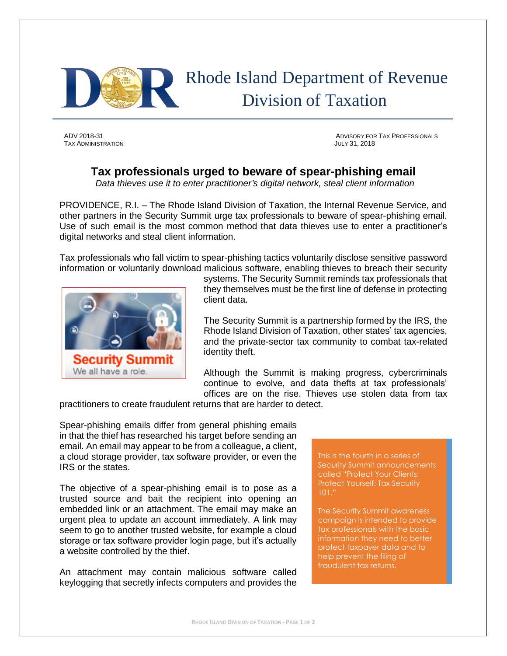

## Rhode Island Department of Revenue Division of Taxation

TAX ADMINISTRATION JULY 31, 2018

ADV 2018-31 ADVISORY FOR TAX PROFESSIONALS

## **Tax professionals urged to beware of spear-phishing email**

*Data thieves use it to enter practitioner's digital network, steal client information*

PROVIDENCE, R.I. – The Rhode Island Division of Taxation, the Internal Revenue Service, and other partners in the Security Summit urge tax professionals to beware of spear-phishing email. Use of such email is the most common method that data thieves use to enter a practitioner's digital networks and steal client information.

Tax professionals who fall victim to spear-phishing tactics voluntarily disclose sensitive password information or voluntarily download malicious software, enabling thieves to breach their security



systems. The Security Summit reminds tax professionals that they themselves must be the first line of defense in protecting client data.

The Security Summit is a partnership formed by the IRS, the Rhode Island Division of Taxation, other states' tax agencies, and the private-sector tax community to combat tax-related identity theft.

Although the Summit is making progress, cybercriminals continue to evolve, and data thefts at tax professionals' offices are on the rise. Thieves use stolen data from tax

practitioners to create fraudulent returns that are harder to detect.

Spear-phishing emails differ from general phishing emails in that the thief has researched his target before sending an email. An email may appear to be from a colleague, a client, a cloud storage provider, tax software provider, or even the IRS or the states.

The objective of a spear-phishing email is to pose as a trusted source and bait the recipient into opening an embedded link or an attachment. The email may make an urgent plea to update an account immediately. A link may seem to go to another trusted website, for example a cloud storage or tax software provider login page, but it's actually a website controlled by the thief.

An attachment may contain malicious software called keylogging that secretly infects computers and provides the

This is the fourth in a series of Security Summit announcements called "Protect Your Clients; Protect Yourself: Tax Security 101."

The Security Summit awareness campaign is intended to provide tax professionals with the basic information they need to better protect taxpayer data and to help prevent the filing of fraudulent tax returns.